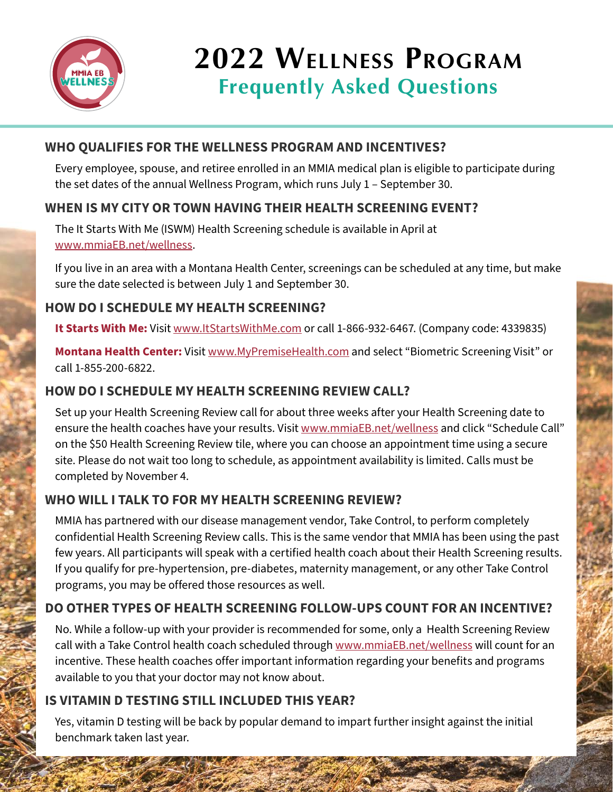

# **2022 Wellness Program Frequently Asked Questions**

# WHO QUALIFIES FOR THE WELLNESS PROGRAM AND INCENTIVES?

Every employee, spouse, and retiree enrolled in an MMIA medical plan is eligible to participate during the set dates of the annual Wellness Program, which runs July 1 – September 30.

# WHEN IS MY CITY OR TOWN HAVING THEIR HEALTH SCREENING EVENT?

The It Starts With Me (ISWM) Health Screening schedule is available in April at [www.mmiaEB.net/wellness](https://www.mmiaEB.net/wellness).

If you live in an area with a Montana Health Center, screenings can be scheduled at any time, but make sure the date selected is between July 1 and September 30.

#### HOW DO I SCHEDULE MY HEALTH SCREENING?

**It Starts With Me:** Visit [www.ItStartsWithMe.com](https://www.ItStartsWithMe.com) or call 1-866-932-6467. (Company code: 4339835)

**Montana Health Center:** Visit [www.MyPremiseHealth.com](https://www.MyPremiseHealth.com) and select "Biometric Screening Visit" or call 1-855-200-6822.

# HOW DO I SCHEDULE MY HEALTH SCREENING REVIEW CALL?

Set up your Health Screening Review call for about three weeks after your Health Screening date to ensure the health coaches have your results. Visit [www.mmiaEB.net/wellness](https://www.mmiaEB.net/wellness) and click "Schedule Call" on the \$50 Health Screening Review tile, where you can choose an appointment time using a secure site. Please do not wait too long to schedule, as appointment availability is limited. Calls must be completed by November 4.

## WHO WILL I TALK TO FOR MY HEALTH SCREENING REVIEW?

MMIA has partnered with our disease management vendor, Take Control, to perform completely confidential Health Screening Review calls. This is the same vendor that MMIA has been using the past few years. All participants will speak with a certified health coach about their Health Screening results. If you qualify for pre-hypertension, pre-diabetes, maternity management, or any other Take Control programs, you may be offered those resources as well.

## DO OTHER TYPES OF HEALTH SCREENING FOLLOW-UPS COUNT FOR AN INCENTIVE?

No. While a follow-up with your provider is recommended for some, only a Health Screening Review call with a Take Control health coach scheduled through [www.mmiaEB.net/wellness](https://www.mmiaEB.net/wellness) will count for an incentive. These health coaches offer important information regarding your benefits and programs available to you that your doctor may not know about.

## IS VITAMIN D TESTING STILL INCLUDED THIS YEAR?

Yes, vitamin D testing will be back by popular demand to impart further insight against the initial benchmark taken last year.